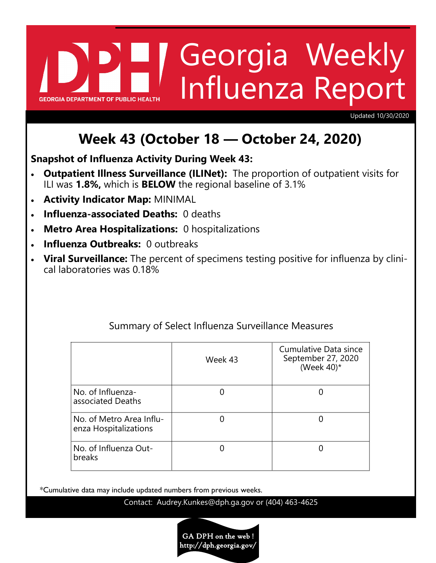# Georgia Weekly Influenza Report **GEORGIA DEPARTMENT OF PUBLIC HE**

Updated 10/30/2020

# **Week 43 (October 18 — October 24, 2020)**

**Snapshot of Influenza Activity During Week 43:**

- **Outpatient Illness Surveillance (ILINet):** The proportion of outpatient visits for ILI was **1.8%,** which is **BELOW** the regional baseline of 3.1%
- **Activity Indicator Map:** MINIMAL
- **Influenza-associated Deaths:** 0 deaths
- **Metro Area Hospitalizations:** 0 hospitalizations
- **Influenza Outbreaks:** 0 outbreaks
- **Viral Surveillance:** The percent of specimens testing positive for influenza by clinical laboratories was 0.18%

|                                                   | Week 43 | Cumulative Data since<br>September 27, 2020<br>(Week $40$ )* |
|---------------------------------------------------|---------|--------------------------------------------------------------|
| No. of Influenza-<br>associated Deaths            |         |                                                              |
| No. of Metro Area Influ-<br>enza Hospitalizations |         |                                                              |
| No. of Influenza Out-<br>breaks                   |         |                                                              |

# Summary of Select Influenza Surveillance Measures

\*Cumulative data may include updated numbers from previous weeks.

Contact: Audrey.Kunkes@dph.ga.gov or (404) 463-4625

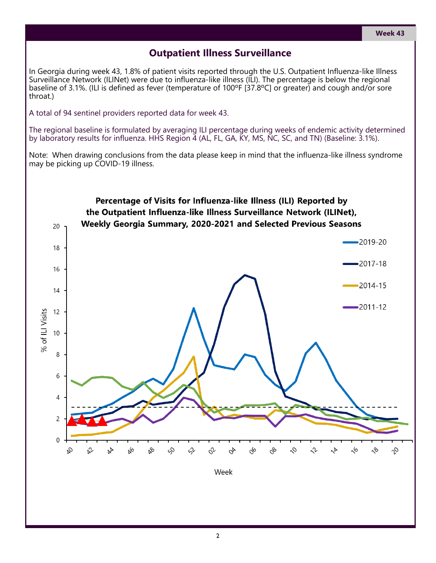## **Outpatient Illness Surveillance**

In Georgia during week 43, 1.8% of patient visits reported through the U.S. Outpatient Influenza-like Illness Surveillance Network (ILINet) were due to influenza-like illness (ILI). The percentage is below the regional baseline of 3.1%. (ILI is defined as fever (temperature of 100ºF [37.8ºC] or greater) and cough and/or sore throat.)

A total of 94 sentinel providers reported data for week 43.

The regional baseline is formulated by averaging ILI percentage during weeks of endemic activity determined by laboratory results for influenza. HHS Region 4 (AL, FL, GA, KY, MS, NC, SC, and TN) (Baseline: 3.1%).

Note: When drawing conclusions from the data please keep in mind that the influenza-like illness syndrome may be picking up COVID-19 illness.

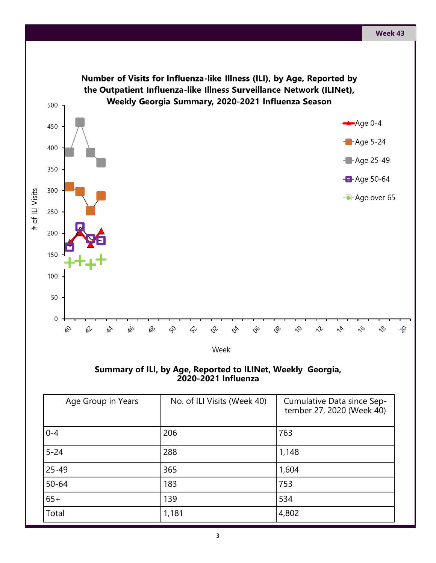

**Summary of ILI, by Age, Reported to ILINet, Weekly Georgia, 2020-2021 Influenza** 

| Age Group in Years | No. of ILI Visits (Week 40) | Cumulative Data since Sep-<br>tember 27, 2020 (Week 40) |
|--------------------|-----------------------------|---------------------------------------------------------|
| $0 - 4$            | 206                         | 763                                                     |
| $5 - 24$           | 288                         | 1,148                                                   |
| $25 - 49$          | 365                         | 1,604                                                   |
| $50 - 64$          | 183                         | 753                                                     |
| $65+$              | 139                         | 534                                                     |
| Total              | 1,181                       | 4,802                                                   |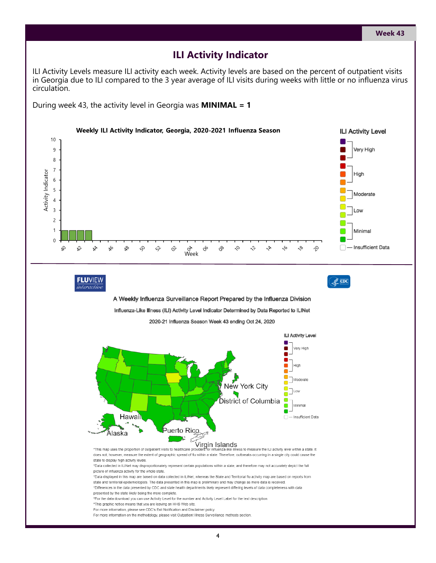#### **ILI Activity Indicator**

ILI Activity Levels measure ILI activity each week. Activity levels are based on the percent of outpatient visits in Georgia due to ILI compared to the 3 year average of ILI visits during weeks with little or no influenza virus circulation.

During week 43, the activity level in Georgia was **MINIMAL = 1**

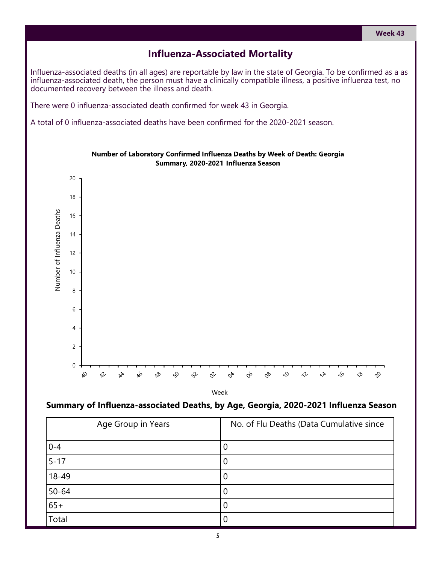#### **Influenza-Associated Mortality**

Influenza-associated deaths (in all ages) are reportable by law in the state of Georgia. To be confirmed as a as influenza-associated death, the person must have a clinically compatible illness, a positive influenza test, no documented recovery between the illness and death.

There were 0 influenza-associated death confirmed for week 43 in Georgia.

A total of 0 influenza-associated deaths have been confirmed for the 2020-2021 season.



Number of Laboratory Confirmed Influenza Deaths by Week of Death: Georgia Summary, 2020-2021 Influenza Season

Week

#### **Summary of Influenza-associated Deaths, by Age, Georgia, 2020-2021 Influenza Season**

| Age Group in Years | No. of Flu Deaths (Data Cumulative since |
|--------------------|------------------------------------------|
| $0 - 4$            |                                          |
| $5 - 17$           |                                          |
| $18 - 49$          | U                                        |
| $50 - 64$          | U                                        |
| $65+$              |                                          |
| Total              |                                          |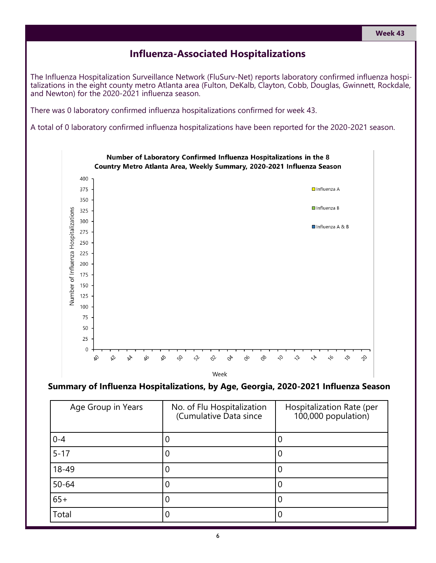#### **Week 43**

#### **Influenza-Associated Hospitalizations**

The Influenza Hospitalization Surveillance Network (FluSurv-Net) reports laboratory confirmed influenza hospitalizations in the eight county metro Atlanta area (Fulton, DeKalb, Clayton, Cobb, Douglas, Gwinnett, Rockdale, and Newton) for the 2020-2021 influenza season.

There was 0 laboratory confirmed influenza hospitalizations confirmed for week 43.

A total of 0 laboratory confirmed influenza hospitalizations have been reported for the 2020-2021 season.



#### **Summary of Influenza Hospitalizations, by Age, Georgia, 2020-2021 Influenza Season**

| Age Group in Years | No. of Flu Hospitalization<br>(Cumulative Data since | Hospitalization Rate (per<br>100,000 population) |
|--------------------|------------------------------------------------------|--------------------------------------------------|
| $0 - 4$            |                                                      |                                                  |
| $5 - 17$           | 0                                                    |                                                  |
| 18-49              | 0                                                    |                                                  |
| $50 - 64$          | 0                                                    |                                                  |
| $65+$              | 0                                                    |                                                  |
| Total              | 0                                                    |                                                  |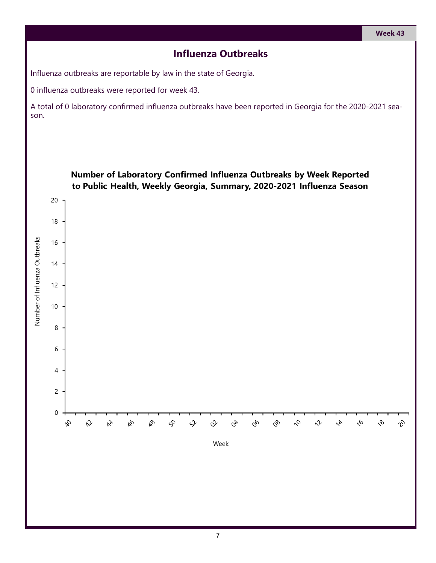### **Influenza Outbreaks**

Influenza outbreaks are reportable by law in the state of Georgia.

0 influenza outbreaks were reported for week 43.

A total of 0 laboratory confirmed influenza outbreaks have been reported in Georgia for the 2020-2021 season.

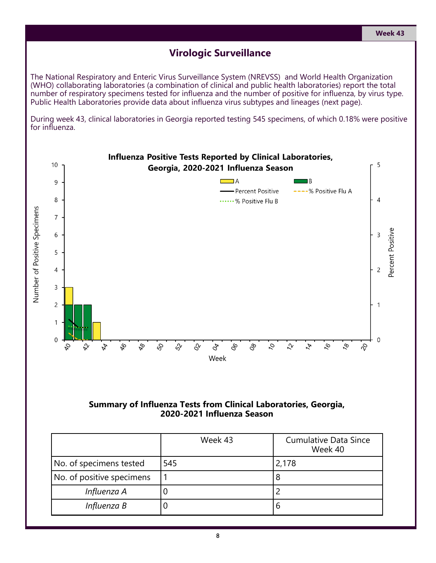#### **Virologic Surveillance**

The National Respiratory and Enteric Virus Surveillance System (NREVSS) and World Health Organization (WHO) collaborating laboratories (a combination of clinical and public health laboratories) report the total number of respiratory specimens tested for influenza and the number of positive for influenza, by virus type. Public Health Laboratories provide data about influenza virus subtypes and lineages (next page).

During week 43, clinical laboratories in Georgia reported testing 545 specimens, of which 0.18% were positive for influenza.



#### **Summary of Influenza Tests from Clinical Laboratories, Georgia, 2020-2021 Influenza Season**

|                           | Week 43 | <b>Cumulative Data Since</b><br>Week 40 |
|---------------------------|---------|-----------------------------------------|
| No. of specimens tested   | 545     | 2,178                                   |
| No. of positive specimens |         | 8                                       |
| Influenza A               |         |                                         |
| Influenza B               |         | 6                                       |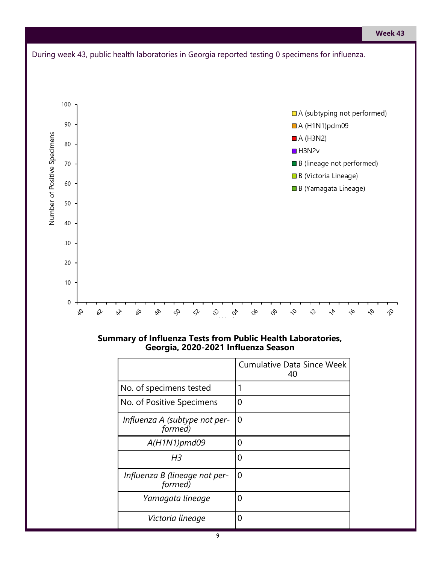

#### **Summary of Influenza Tests from Public Health Laboratories, Georgia, 2020-2021 Influenza Season**

|                                          | <b>Cumulative Data Since Week</b><br>40 |
|------------------------------------------|-----------------------------------------|
| No. of specimens tested                  |                                         |
| No. of Positive Specimens                | ი                                       |
| Influenza A (subtype not per-<br>formed) | O                                       |
| A(H1N1)pmd09                             | 0                                       |
| H3                                       | Ω                                       |
| Influenza B (lineage not per-<br>formed) | O                                       |
| Yamagata lineage                         | O                                       |
| Victoria lineage                         | П                                       |